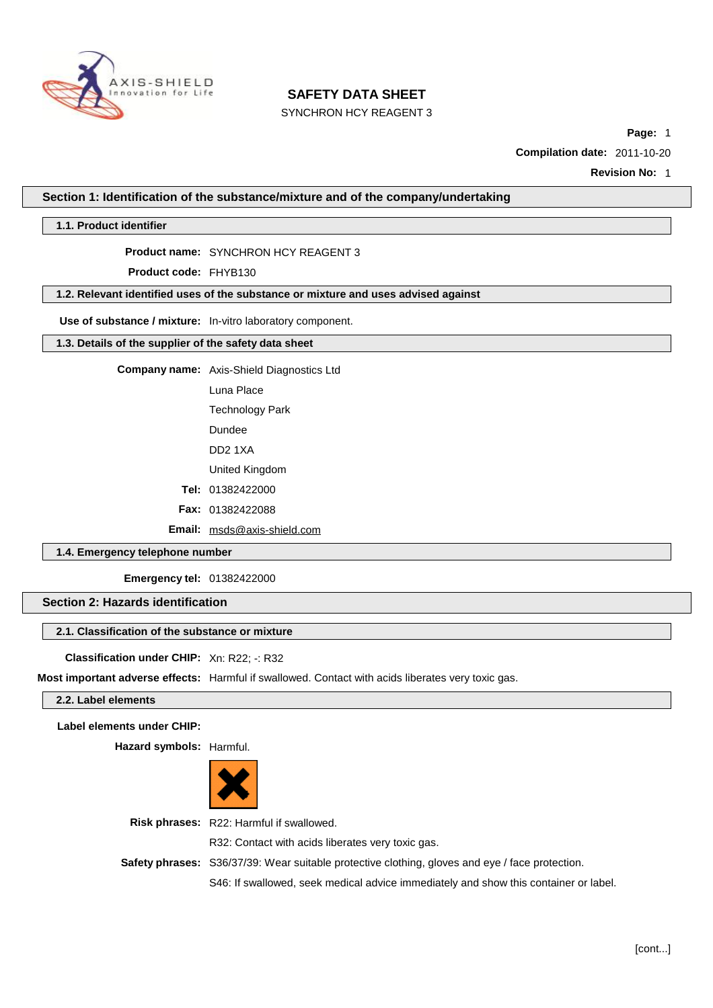

SYNCHRON HCY REAGENT 3

**Page:** 1

**Compilation date:** 2011-10-20

**Revision No:** 1

**Section 1: Identification of the substance/mixture and of the company/undertaking**

**1.1. Product identifier**

#### **Product name:** SYNCHRON HCY REAGENT 3

**Product code:** FHYB130

### **1.2. Relevant identified uses of the substance or mixture and uses advised against**

**Use of substance / mixture:** In-vitro laboratory component.

## **1.3. Details of the supplier of the safety data sheet**

**Company name:** Axis-Shield Diagnostics Ltd

Luna Place

Technology Park

Dundee

DD2 1XA

United Kingdom

**Tel:** 01382422000

**Fax:** 01382422088

**Email:** [msds@axis-shield.com](mailto:msds@axis-shield.com)

## **1.4. Emergency telephone number**

**Emergency tel:** 01382422000

## **Section 2: Hazards identification**

### **2.1. Classification of the substance or mixture**

**Classification under CHIP:** Xn: R22; -: R32

**Most important adverse effects:** Harmful if swallowed. Contact with acids liberates very toxic gas.

### **2.2. Label elements**

**Label elements under CHIP:**

**Hazard symbols:** Harmful.



**Risk phrases:** R22: Harmful if swallowed. R32: Contact with acids liberates very toxic gas. **Safety phrases:** S36/37/39: Wear suitable protective clothing, gloves and eye / face protection. S46: If swallowed, seek medical advice immediately and show this container or label.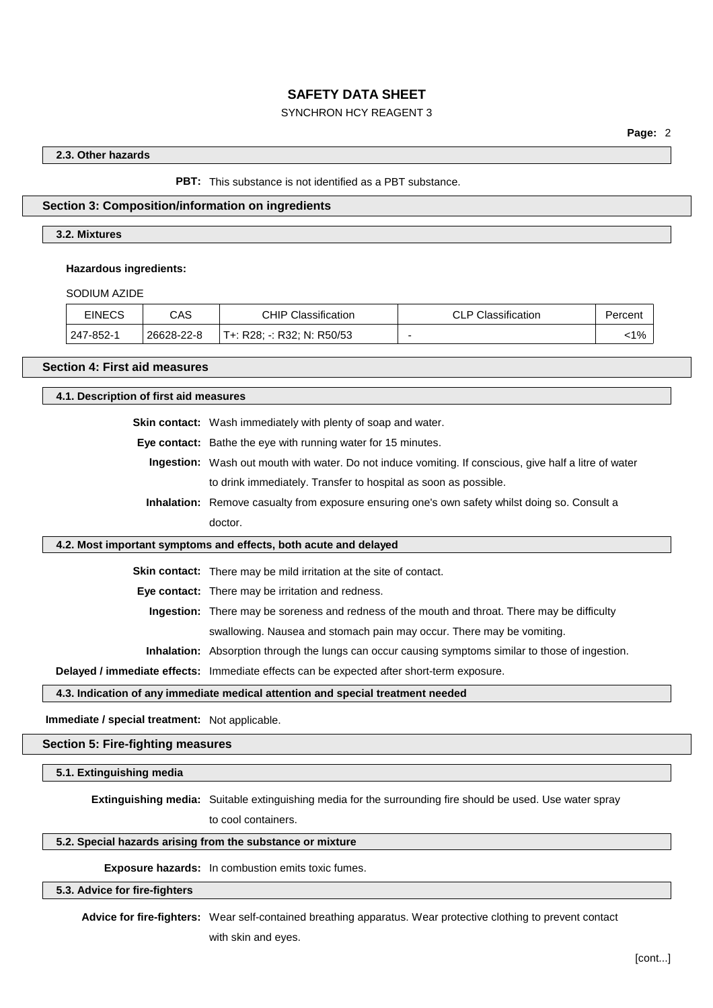## SYNCHRON HCY REAGENT 3

#### **2.3. Other hazards**

#### **PBT:** This substance is not identified as a PBT substance.

#### **Section 3: Composition/information on ingredients**

#### **3.2. Mixtures**

#### **Hazardous ingredients:**

SODIUM AZIDE

| <b>EINECS</b> | CAS        | <b>CHIP Classification</b> | <b>CLP Classification</b> | Percent |
|---------------|------------|----------------------------|---------------------------|---------|
| 247-852-1     | 26628-22-8 | T+: R28; -: R32; N: R50/53 |                           | $< 1\%$ |

#### **Section 4: First aid measures**

**4.1. Description of first aid measures**

**Skin contact:** Wash immediately with plenty of soap and water.

**Eye contact:** Bathe the eye with running water for 15 minutes.

**Ingestion:** Wash out mouth with water. Do not induce vomiting. If conscious, give half a litre of water to drink immediately. Transfer to hospital as soon as possible.

**Inhalation:** Remove casualty from exposure ensuring one's own safety whilst doing so. Consult a doctor.

#### **4.2. Most important symptoms and effects, both acute and delayed**

**Skin contact:** There may be mild irritation at the site of contact.

**Eye contact:** There may be irritation and redness.

**Ingestion:** There may be soreness and redness of the mouth and throat. There may be difficulty

swallowing. Nausea and stomach pain may occur. There may be vomiting.

**Inhalation:** Absorption through the lungs can occur causing symptoms similar to those of ingestion.

**Delayed / immediate effects:** Immediate effects can be expected after short-term exposure.

#### **4.3. Indication of any immediate medical attention and special treatment needed**

**Immediate / special treatment:** Not applicable.

**Section 5: Fire-fighting measures**

**5.1. Extinguishing media**

**Extinguishing media:** Suitable extinguishing media for the surrounding fire should be used. Use water spray to cool containers.

#### **5.2. Special hazards arising from the substance or mixture**

**Exposure hazards:** In combustion emits toxic fumes.

#### **5.3. Advice for fire-fighters**

**Advice for fire-fighters:** Wear self-contained breathing apparatus. Wear protective clothing to prevent contact with skin and eyes.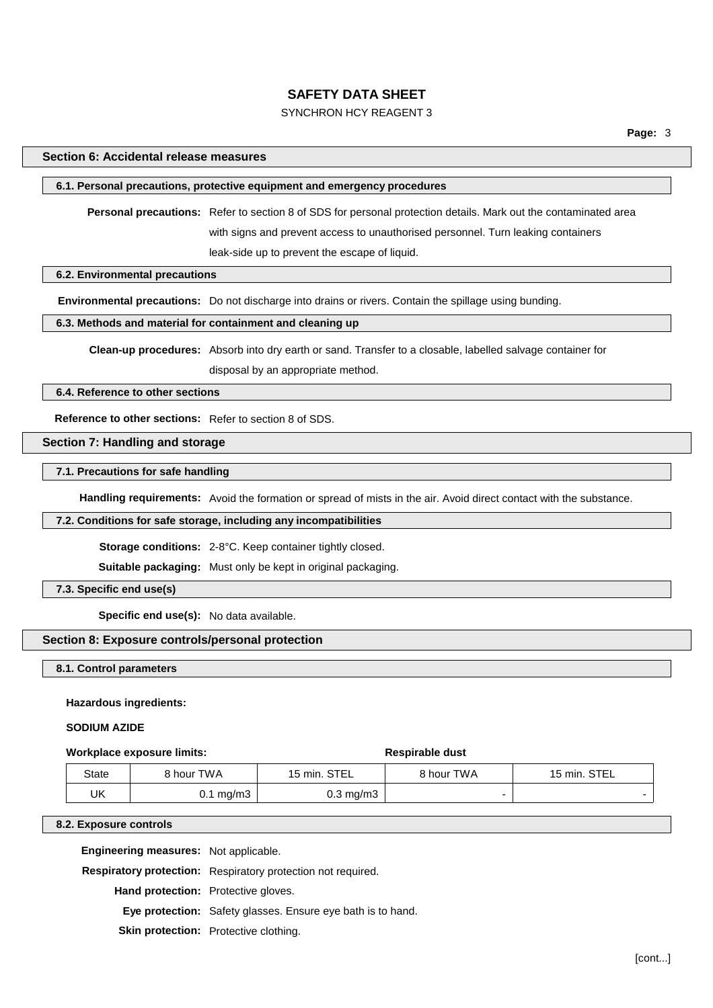## SYNCHRON HCY REAGENT 3

#### **Section 6: Accidental release measures**

#### **6.1. Personal precautions, protective equipment and emergency procedures**

**Personal precautions:** Refer to section 8 of SDS for personal protection details. Mark out the contaminated area with signs and prevent access to unauthorised personnel. Turn leaking containers leak-side up to prevent the escape of liquid.

**6.2. Environmental precautions**

**Environmental precautions:** Do not discharge into drains or rivers. Contain the spillage using bunding.

#### **6.3. Methods and material for containment and cleaning up**

**Clean-up procedures:** Absorb into dry earth or sand. Transfer to a closable, labelled salvage container for

disposal by an appropriate method.

**6.4. Reference to other sections**

**Reference to other sections:** Refer to section 8 of SDS.

## **Section 7: Handling and storage**

## **7.1. Precautions for safe handling**

**Handling requirements:** Avoid the formation or spread of mists in the air. Avoid direct contact with the substance.

#### **7.2. Conditions for safe storage, including any incompatibilities**

**Storage conditions:** 2-8°C. Keep container tightly closed.

**Suitable packaging:** Must only be kept in original packaging.

**7.3. Specific end use(s)**

**Specific end use(s):** No data available.

## **Section 8: Exposure controls/personal protection**

**8.1. Control parameters**

#### **Hazardous ingredients:**

#### **SODIUM AZIDE**

#### **Workplace** exposure limits: **Respirable** dust

| State | 8 hour TWA           | 15 min. STEL         | 8 hour TWA | 15 min. STEL |
|-------|----------------------|----------------------|------------|--------------|
| UK    | $0.1 \text{ mg/m}$ 3 | $0.3 \text{ mg/m}$ 3 |            |              |

#### **8.2. Exposure controls**

**Engineering measures:** Not applicable.

**Respiratory protection:** Respiratory protection not required.

**Hand protection:** Protective gloves.

**Eye protection:** Safety glasses. Ensure eye bath is to hand.

**Skin protection:** Protective clothing.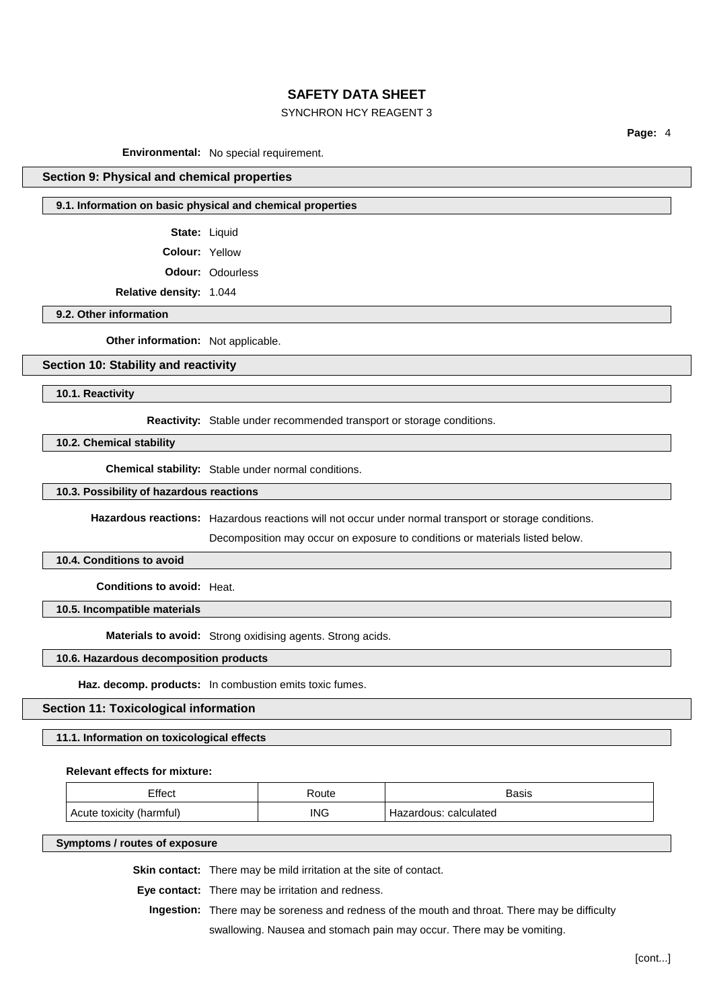## SYNCHRON HCY REAGENT 3

**Page:** 4

**Environmental:** No special requirement.

#### **Section 9: Physical and chemical properties**

#### **9.1. Information on basic physical and chemical properties**

**State:** Liquid

**Colour:** Yellow

**Odour:** Odourless

**Relative density:** 1.044

**9.2. Other information**

**Other information:** Not applicable.

## **Section 10: Stability and reactivity**

**10.1. Reactivity**

**Reactivity:** Stable under recommended transport or storage conditions.

**10.2. Chemical stability**

**Chemical stability:** Stable under normal conditions.

## **10.3. Possibility of hazardous reactions**

**Hazardous reactions:** Hazardous reactions will not occur under normal transport or storage conditions.

Decomposition may occur on exposure to conditions or materials listed below.

#### **10.4. Conditions to avoid**

**Conditions to avoid:** Heat.

**10.5. Incompatible materials**

**Materials to avoid:** Strong oxidising agents. Strong acids.

#### **10.6. Hazardous decomposition products**

**Haz. decomp. products:** In combustion emits toxic fumes.

#### **Section 11: Toxicological information**

#### **11.1. Information on toxicological effects**

#### **Relevant effects for mixture:**

| Effect         | Route | Basis      |
|----------------|-------|------------|
| (harmful)      | ING   | calculated |
| Acute toxicity | __    | dous.      |

**Symptoms / routes of exposure**

**Skin contact:** There may be mild irritation at the site of contact.

**Eye contact:** There may be irritation and redness.

**Ingestion:** There may be soreness and redness of the mouth and throat. There may be difficulty

swallowing. Nausea and stomach pain may occur. There may be vomiting.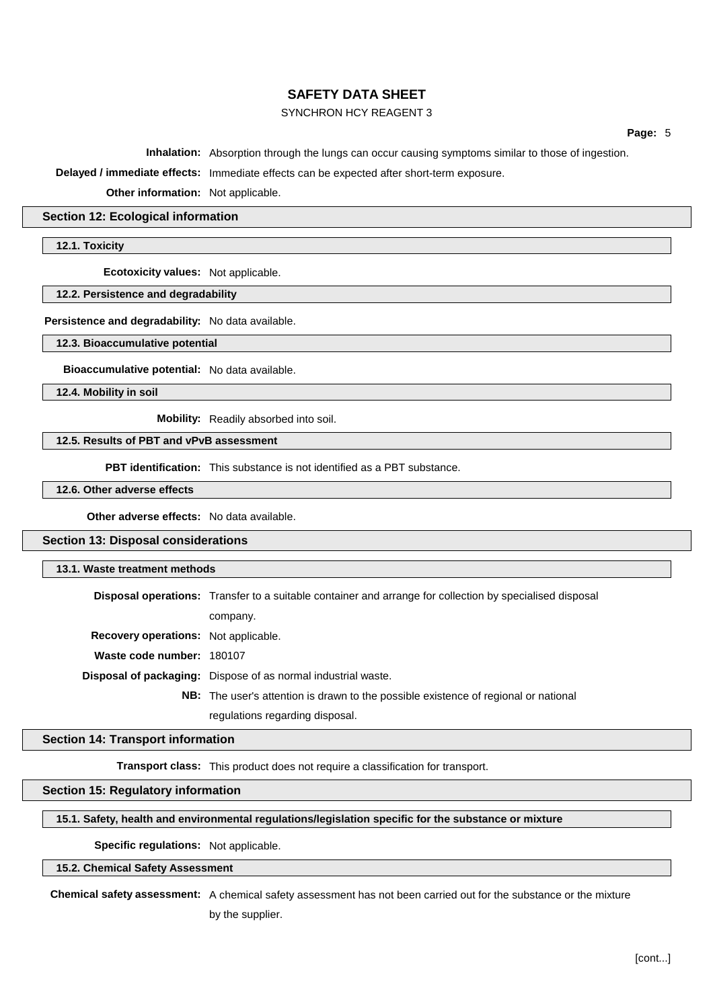## SYNCHRON HCY REAGENT 3

**Page:** 5

**Inhalation:** Absorption through the lungs can occur causing symptoms similar to those of ingestion.

**Delayed / immediate effects:** Immediate effects can be expected after short-term exposure.

**Other information:** Not applicable.

#### **Section 12: Ecological information**

**12.1. Toxicity**

**Ecotoxicity values:** Not applicable.

**12.2. Persistence and degradability**

**Persistence and degradability:** No data available.

**12.3. Bioaccumulative potential**

**Bioaccumulative potential:** No data available.

**12.4. Mobility in soil**

**Mobility:** Readily absorbed into soil.

**12.5. Results of PBT and vPvB assessment**

**PBT identification:** This substance is not identified as a PBT substance.

**12.6. Other adverse effects**

**Other adverse effects:** No data available.

**Section 13: Disposal considerations**

#### **13.1. Waste treatment methods**

**Disposal operations:** Transfer to a suitable container and arrange for collection by specialised disposal company. **Recovery operations:** Not applicable. **Waste code number:** 180107 **Disposal of packaging:** Dispose of as normal industrial waste. **NB:** The user's attention is drawn to the possible existence of regional or national regulations regarding disposal.

#### **Section 14: Transport information**

**Transport class:** This product does not require a classification for transport.

#### **Section 15: Regulatory information**

#### **15.1. Safety, health and environmental regulations/legislation specific for the substance or mixture**

## **Specific regulations:** Not applicable.

## **15.2. Chemical Safety Assessment**

**Chemical safety assessment:** A chemical safety assessment has not been carried out for the substance or the mixture by the supplier.